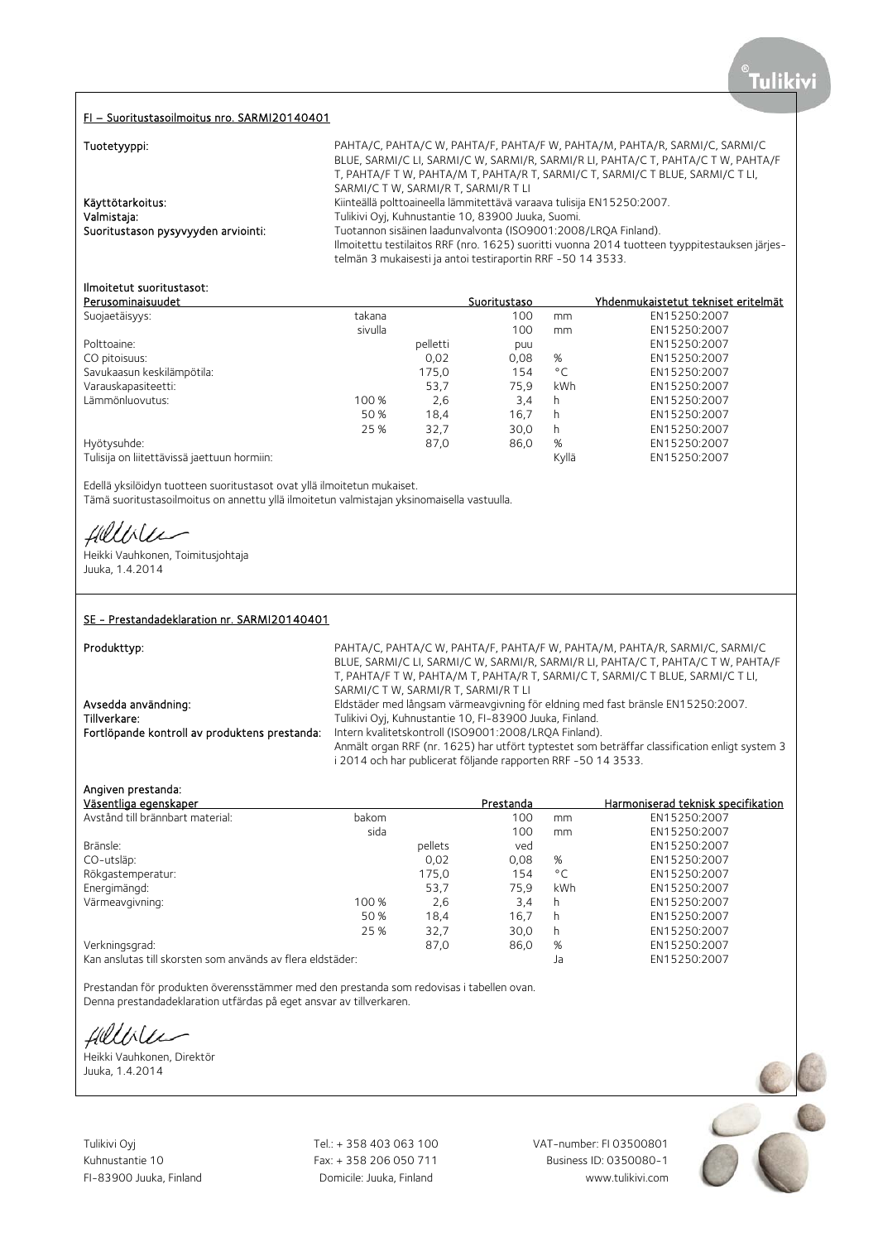#### FI – Suoritustasoilmoitus nro. SARMI20140401

 $T_{i,j}$  and a strip  $\mathbf{r}_{i,j}$ 

| Tuotetyyppi.                        | PANTA/C, PANTA/C W, PANTA/F, PANTA/F W, PANTA/M, PANTA/K, SAKI/II/C, SAKI/II/C                |
|-------------------------------------|-----------------------------------------------------------------------------------------------|
|                                     | BLUE, SARMI/C LI, SARMI/C W, SARMI/R, SARMI/R LI, PAHTA/C T, PAHTA/C T W, PAHTA/F             |
|                                     | T, PAHTA/F T W, PAHTA/M T, PAHTA/R T, SARMI/C T, SARMI/C T BLUE, SARMI/C T LI,                |
|                                     | SARMI/C T W, SARMI/R T, SARMI/R T LI                                                          |
| Käyttötarkoitus:                    | Kiinteällä polttoaineella lämmitettävä varaava tulisija EN15250:2007.                         |
| Valmistaja:                         | Tulikivi Oyi, Kuhnustantie 10, 83900 Juuka, Suomi.                                            |
| Suoritustason pysyvyyden arviointi: | Tuotannon sisäinen laadunvalvonta (ISO9001:2008/LROA Finland).                                |
|                                     | Ilmoitettu testilaitos RRF (nro. 1625) suoritti vuonna 2014 tuotteen tyyppitestauksen järjes- |
|                                     | telmän 3 mukaisesti ja antoi testiraportin RRF -50 14 3533.                                   |
|                                     |                                                                                               |

# Ilmoitetut suoritustasot:

|         |          | Suoritustaso |              | Yhdenmukaistetut tekniset eritelmät |
|---------|----------|--------------|--------------|-------------------------------------|
| takana  |          | 100          | mm           | EN15250:2007                        |
| sivulla |          | 100          | mm           | EN15250:2007                        |
|         | pelletti | puu          |              | EN15250:2007                        |
|         | 0,02     | 0,08         | %            | EN15250:2007                        |
|         | 175,0    | 154          | $^{\circ}$ C | EN15250:2007                        |
|         | 53,7     | 75,9         | kWh          | EN15250:2007                        |
| 100 %   | 2,6      | 3,4          | h            | EN15250:2007                        |
| 50 %    | 18,4     | 16.7         | h            | EN15250:2007                        |
| 25 %    | 32,7     | 30,0         | h            | EN15250:2007                        |
|         | 87,0     | 86,0         | %            | EN15250:2007                        |
|         |          |              | Kyllä        | EN15250:2007                        |
|         |          |              |              |                                     |

Edellä yksilöidyn tuotteen suoritustasot ovat yllä ilmoitetun mukaiset. Tämä suoritustasoilmoitus on annettu yllä ilmoitetun valmistajan yksinomaisella vastuulla.

Hilliler

Heikki Vauhkonen, Toimitusjohtaja Juuka, 1.4.2014

## SE - Prestandadeklaration nr. SARMI20140401

Produkttyp: example: PAHTA/C, PAHTA/C, PAHTA/C, PAHTA/F, PAHTA/F, W, PAHTA/M, PAHTA/R, SARMI/C, SARMI/C BLUE, SARMI/C LI, SARMI/C W, SARMI/R, SARMI/R LI, PAHTA/C T, PAHTA/C T W, PAHTA/F T, PAHTA/F T W, PAHTA/M T, PAHTA/R T, SARMI/C T, SARMI/C T BLUE, SARMI/C T LI, SARMI/C T W, SARMI/R T, SARMI/R T LI Avsedda användning: Eldstäder med långsam värmeavgivning för eldning med fast bränsle EN15250:2007. Tillverkare: Tulikivi Oyj, Kuhnustantie 10, FI-83900 Juuka, Finland.<br>1. Fortlöpande kontroll av produktens prestanda: Intern kvalitetskontroll (ISO9001:2008/LRQA Finland) Intern kvalitetskontroll (ISO9001:2008/LRQA Finland). Anmält organ RRF (nr. 1625) har utfört typtestet som beträffar classification enligt system 3 i 2014 och har publicerat följande rapporten RRF -50 14 3533.

Tuotetyyppi: PAHTA/C, PAHTA/C W, PAHTA/F, PAHTA/F W, PAHTA/M, PAHTA/R, SARMI/C, SARMI/C

#### Angiven prestanda:

| Väsentliga egenskaper                                      |       |         | Prestanda |              | Harmoniserad teknisk specifikation |
|------------------------------------------------------------|-------|---------|-----------|--------------|------------------------------------|
| Avstånd till brännbart material:                           | bakom |         | 100       | mm           | EN15250:2007                       |
|                                                            | sida  |         | 100       | mm           | EN15250:2007                       |
| Bränsle:                                                   |       | pellets | ved       |              | EN15250:2007                       |
| CO-utsläp:                                                 |       | 0.02    | 0.08      | %            | EN15250:2007                       |
| Rökgastemperatur:                                          |       | 175,0   | 154       | $^{\circ}$ C | EN15250:2007                       |
| Energimängd:                                               |       | 53,7    | 75.9      | <b>kWh</b>   | EN15250:2007                       |
| Värmeavgivning:                                            | 100 % | 2,6     | 3,4       | h            | EN15250:2007                       |
|                                                            | 50 %  | 18,4    | 16,7      | h.           | EN15250:2007                       |
|                                                            | 25 %  | 32,7    | 30,0      | h            | EN15250:2007                       |
| Verkningsgrad:                                             |       | 87,0    | 86,0      | %            | EN15250:2007                       |
| Kan anslutas till skorsten som används av flera eldstäder: |       |         |           | Ja           | EN15250:2007                       |

Prestandan för produkten överensstämmer med den prestanda som redovisas i tabellen ovan. Denna prestandadeklaration utfärdas på eget ansvar av tillverkaren.

Hillble

Heikki Vauhkonen, Direktör Juuka, 1.4.2014

Tulikivi Oyj **Tel.: + 358 403 063 100** VAT-number: FI 03500801

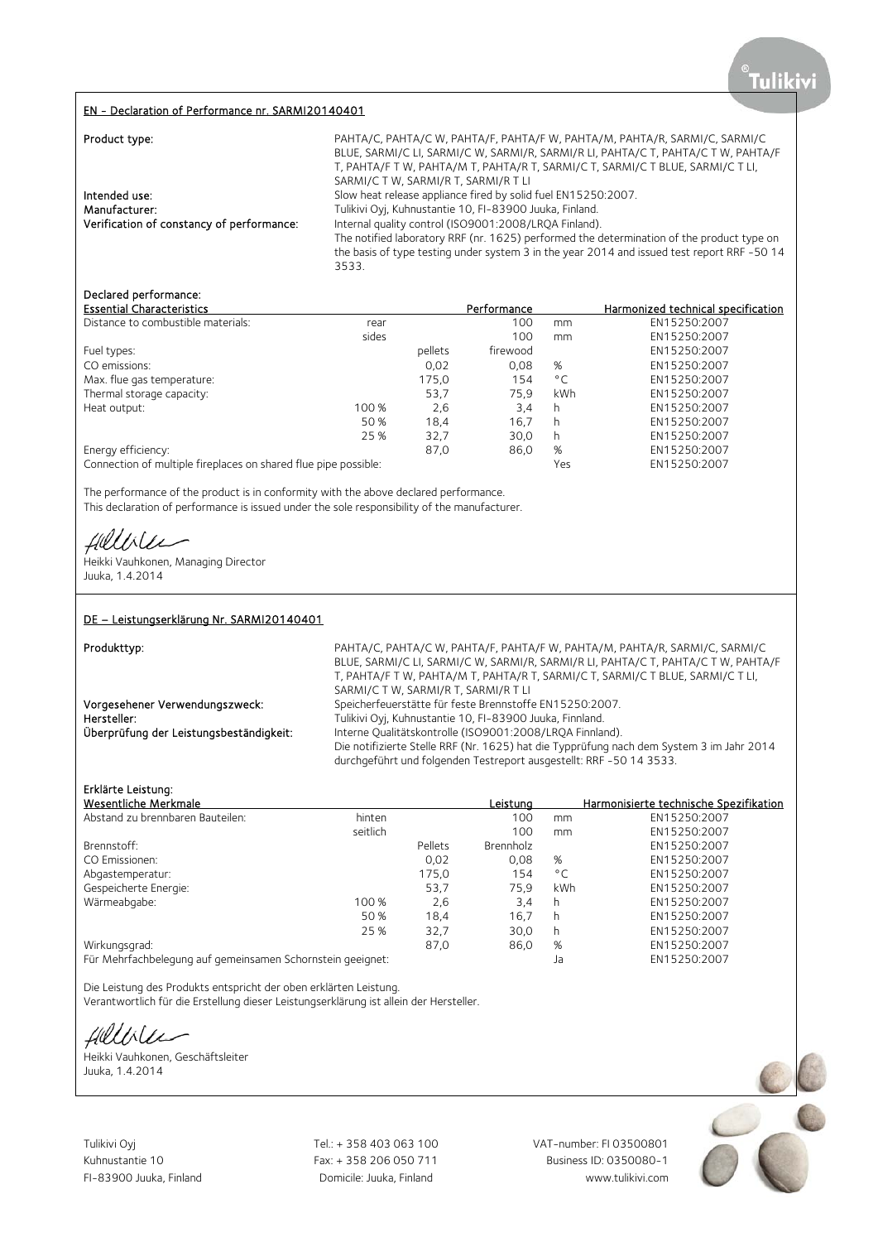## EN - Declaration of Performance nr. SARMI20140401

| Product type:                                                               | PAHTA/C, PAHTA/C W, PAHTA/F, PAHTA/F W, PAHTA/M, PAHTA/R, SARMI/C, SARMI/C<br>BLUE, SARMI/C LI, SARMI/C W, SARMI/R, SARMI/R LI, PAHTA/C T, PAHTA/C T W, PAHTA/F<br>T, PAHTA/F T W, PAHTA/M T, PAHTA/R T, SARMI/C T, SARMI/C T BLUE, SARMI/C T LI,<br>SARMI/C T W, SARMI/R T, SARMI/R T LI                                                                                              |
|-----------------------------------------------------------------------------|----------------------------------------------------------------------------------------------------------------------------------------------------------------------------------------------------------------------------------------------------------------------------------------------------------------------------------------------------------------------------------------|
| Intended use:<br>Manufacturer:<br>Verification of constancy of performance: | Slow heat release appliance fired by solid fuel EN15250:2007.<br>Tulikivi Oyj, Kuhnustantie 10, FI-83900 Juuka, Finland.<br>Internal quality control (ISO9001:2008/LROA Finland).<br>The notified laboratory RRF (nr. 1625) performed the determination of the product type on<br>the basis of type testing under system 3 in the year 2014 and issued test report RRF -50 14<br>3533. |

# Declared performance:

| <b>Essential Characteristics</b>                                |       |         | Performance |              | Harmonized technical specification |
|-----------------------------------------------------------------|-------|---------|-------------|--------------|------------------------------------|
| Distance to combustible materials:                              | rear  |         | 100         | mm           | EN15250:2007                       |
|                                                                 | sides |         | 100         | mm           | EN15250:2007                       |
| Fuel types:                                                     |       | pellets | firewood    |              | EN15250:2007                       |
| CO emissions:                                                   |       | 0,02    | 0.08        | %            | EN15250:2007                       |
| Max. flue gas temperature:                                      |       | 175,0   | 154         | $^{\circ}$ C | EN15250:2007                       |
| Thermal storage capacity:                                       |       | 53,7    | 75.9        | kWh          | EN15250:2007                       |
| Heat output:                                                    | 100 % | 2,6     | 3,4         | h            | EN15250:2007                       |
|                                                                 | 50 %  | 18,4    | 16,7        | h            | EN15250:2007                       |
|                                                                 | 25 %  | 32,7    | 30,0        | h            | EN15250:2007                       |
| Energy efficiency:                                              |       | 87,0    | 86,0        | %            | EN15250:2007                       |
| Connection of multiple fireplaces on shared flue pipe possible: |       |         |             | Yes          | EN15250:2007                       |

The performance of the product is in conformity with the above declared performance. This declaration of performance is issued under the sole responsibility of the manufacturer.

 $U\Lambda U$ 

Heikki Vauhkonen, Managing Director Juuka, 1.4.2014

#### DE – Leistungserklärung Nr. SARMI20140401

Produkttyp: example and the PAHTA/C, PAHTA/C, PAHTA/F, PAHTA/F, W, PAHTA/M, PAHTA/R, SARMI/C, SARMI/C BLUE, SARMI/C LI, SARMI/C W, SARMI/R, SARMI/R LI, PAHTA/C T, PAHTA/C T W, PAHTA/F T, PAHTA/F T W, PAHTA/M T, PAHTA/R T, SARMI/C T, SARMI/C T BLUE, SARMI/C T LI, SARMI/C T W, SARMI/R T, SARMI/R T LI Vorgesehener Verwendungszweck: Speicherfeuerstätte für feste Brennstoffe EN15250:2007. Hersteller: Tulikivi Oyj, Kuhnustantie 10, FI-83900 Juuka, Finnland.<br>
Überprüfung der Leistungsbeständigkeit: Interne Qualitätskontrolle (ISO9001:2008/LRQA Finnlar Interne Qualitätskontrolle (ISO9001:2008/LRQA Finnland). Die notifizierte Stelle RRF (Nr. 1625) hat die Typprüfung nach dem System 3 im Jahr 2014 durchgeführt und folgenden Testreport ausgestellt: RRF -50 14 3533.

# Erklärte Leistung:

| Wesentliche Merkmale                                       |          |         | Leistuna  |              | Harmonisierte technische Spezifikation |
|------------------------------------------------------------|----------|---------|-----------|--------------|----------------------------------------|
| Abstand zu brennbaren Bauteilen:                           | hinten   |         | 100       | mm           | EN15250:2007                           |
|                                                            | seitlich |         | 100       | mm           | EN15250:2007                           |
| Brennstoff:                                                |          | Pellets | Brennholz |              | EN15250:2007                           |
| CO Emissionen:                                             |          | 0.02    | 0.08      | %            | EN15250:2007                           |
| Abgastemperatur:                                           |          | 175,0   | 154       | $^{\circ}$ C | EN15250:2007                           |
| Gespeicherte Energie:                                      |          | 53,7    | 75.9      | kWh          | EN15250:2007                           |
| Wärmeabgabe:                                               | 100 %    | 2,6     | 3,4       | h            | EN15250:2007                           |
|                                                            | 50 %     | 18,4    | 16,7      | h            | EN15250:2007                           |
|                                                            | 25 %     | 32,7    | 30,0      | h            | EN15250:2007                           |
| Wirkungsgrad:                                              |          | 87,0    | 86,0      | %            | EN15250:2007                           |
| Für Mehrfachbelegung auf gemeinsamen Schornstein geeignet: |          |         |           | Ja           | EN15250:2007                           |

Die Leistung des Produkts entspricht der oben erklärten Leistung.

Verantwortlich für die Erstellung dieser Leistungserklärung ist allein der Hersteller.

fillble

Heikki Vauhkonen, Geschäftsleiter Juuka, 1.4.2014

Tulikivi Oyj Tel.: + 358 403 063 100 VAT-number: FI 03500801

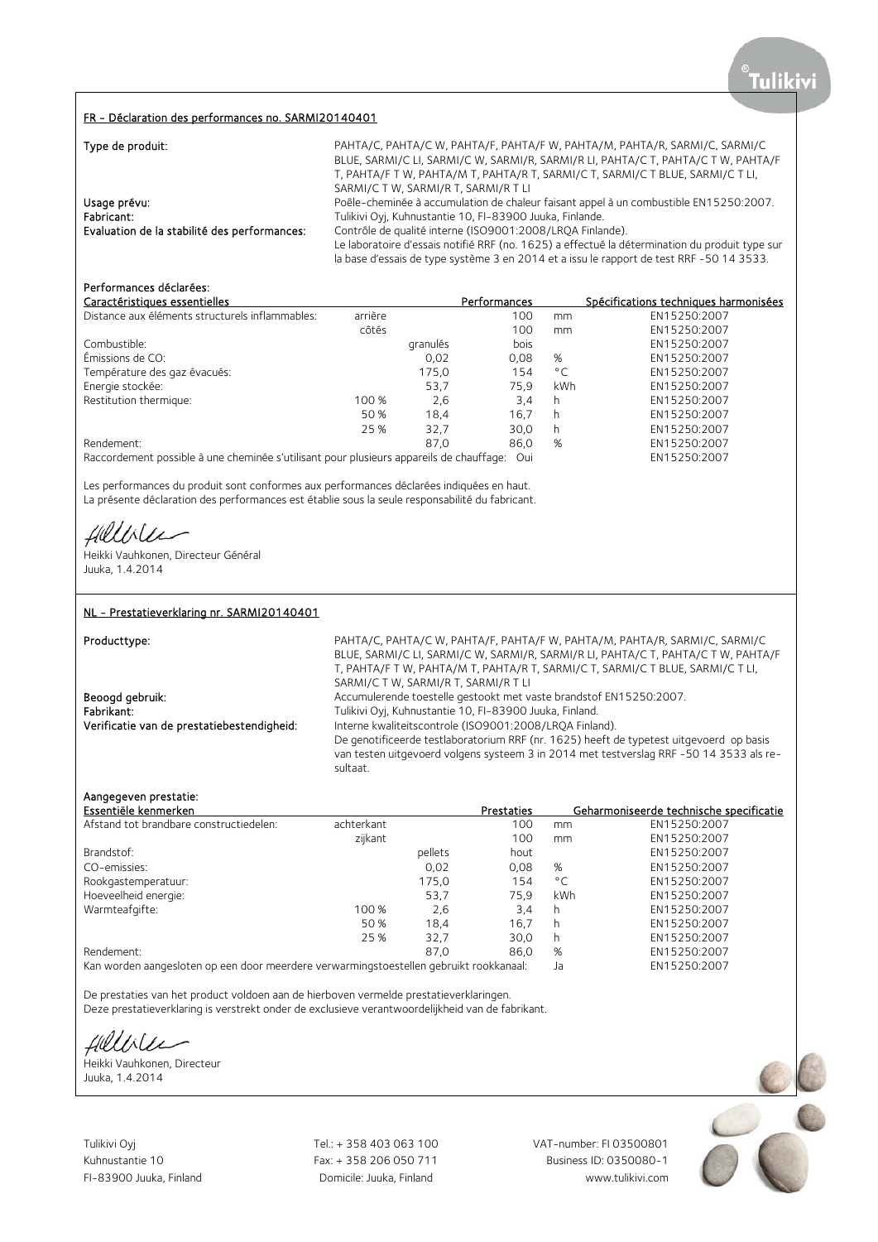#### FR - Déclaration des performances no. SARMI20140401

| Type de produit:                             | PAHTA/C, PAHTA/C W, PAHTA/F, PAHTA/F W, PAHTA/M, PAHTA/R, SARMI/C, SARMI/C                     |
|----------------------------------------------|------------------------------------------------------------------------------------------------|
|                                              | BLUE, SARMI/C LI, SARMI/C W, SARMI/R, SARMI/R LI, PAHTA/C T, PAHTA/C T W, PAHTA/F              |
|                                              | T, PAHTA/F T W, PAHTA/M T, PAHTA/R T, SARMI/C T, SARMI/C T BLUE, SARMI/C T LI,                 |
|                                              | SARMI/C T W. SARMI/R T. SARMI/R T LI                                                           |
| Usage prévu:                                 | Poêle-cheminée à accumulation de chaleur faisant appel à un combustible EN15250:2007.          |
| Fabricant:                                   | Tulikivi Oyj, Kuhnustantie 10, FI-83900 Juuka, Finlande.                                       |
| Evaluation de la stabilité des performances: | Contrôle de qualité interne (ISO9001:2008/LRQA Finlande).                                      |
|                                              | Le laboratoire d'essais notifié RRF (no. 1625) a effectué la détermination du produit type sur |
|                                              | la base d'essais de type système 3 en 2014 et a issu le rapport de test RRF -50 14 3533.       |

# Performances déclarées:

| Caractéristiques essentielles                                                           |         |          | Performances |              | Spécifications techniques harmonisées |
|-----------------------------------------------------------------------------------------|---------|----------|--------------|--------------|---------------------------------------|
| Distance aux éléments structurels inflammables:                                         | arrière |          | 100          | mm           | EN15250:2007                          |
|                                                                                         | côtés   |          | 100          | mm           | EN15250:2007                          |
| Combustible:                                                                            |         | granulés | bois         |              | EN15250:2007                          |
| Émissions de CO:                                                                        |         | 0,02     | 0.08         | %            | EN15250:2007                          |
| Température des gaz évacués:                                                            |         | 175,0    | 154          | $^{\circ}$ C | EN15250:2007                          |
| Energie stockée:                                                                        |         | 53.7     | 75.9         | kWh          | EN15250:2007                          |
| Restitution thermique:                                                                  | 100 %   | 2,6      | 3.4          | h            | EN15250:2007                          |
|                                                                                         | 50 %    | 18.4     | 16.7         | h            | EN15250:2007                          |
|                                                                                         | 25 %    | 32.7     | 30.0         | h            | EN15250:2007                          |
| Rendement:                                                                              |         | 87.0     | 86.0         | %            | EN15250:2007                          |
| Raccordement possible à une cheminée s'utilisant pour plusieurs appareils de chauffage: |         |          | Oui          |              | EN15250:2007                          |

Les performances du produit sont conformes aux performances déclarées indiquées en haut. La présente déclaration des performances est établie sous la seule responsabilité du fabricant.

Uilee

Heikki Vauhkonen, Directeur Général Juuka, 1.4.2014

### NL - Prestatieverklaring nr. SARMI20140401

#### Producttype: example: FAHTA/C, PAHTA/C, PAHTA/C, PAHTA/F, PAHTA/F, W, PAHTA/M, PAHTA/R, SARMI/C, SARMI/C, SARMI/C, BLUE, SARMI/C LI, SARMI/C W, SARMI/R, SARMI/R LI, PAHTA/C T, PAHTA/C T W, PAHTA/F T, PAHTA/F T W, PAHTA/M T, PAHTA/R T, SARMI/C T, SARMI/C T BLUE, SARMI/C T LI, SARMI/C T W, SARMI/R T, SARMI/R T LI Beoogd gebruik: **Accumulerende toestelle gestookt met vaste brandstof EN15250:2007.** Fabrikant: Tulikivi Oyj, Kuhnustantie 10, FI-83900 Juuka, Finland.<br>
Verificatie van de prestatiebestendigheid: Interne kwaliteitscontrole (ISO9001:2008/LRQA Finlai Interne kwaliteitscontrole (ISO9001:2008/LRQA Finland). De genotificeerde testlaboratorium RRF (nr. 1625) heeft de typetest uitgevoerd op basis van testen uitgevoerd volgens systeem 3 in 2014 met testverslag RRF -50 14 3533 als resultaat.

## Aangegeven prestatie:

| Essentiële kenmerken                    |            |         | Prestaties |              | Geharmoniseerde technische specificatie |
|-----------------------------------------|------------|---------|------------|--------------|-----------------------------------------|
| Afstand tot brandbare constructiedelen: | achterkant |         | 100        | mm           | EN15250:2007                            |
|                                         | zijkant    |         | 100        | mm           | EN15250:2007                            |
| Brandstof:                              |            | pellets | hout       |              | EN15250:2007                            |
| CO-emissies:                            |            | 0,02    | 0,08       | %            | EN15250:2007                            |
| Rookgastemperatuur:                     |            | 175,0   | 154        | $^{\circ}$ C | EN15250:2007                            |
| Hoeveelheid energie:                    |            | 53,7    | 75.9       | kWh          | EN15250:2007                            |
| Warmteafgifte:                          | 100 %      | 2,6     | 3.4        | h            | EN15250:2007                            |
|                                         | 50 %       | 18.4    | 16.7       | h            | EN15250:2007                            |
|                                         | 25 %       | 32,7    | 30.0       | h.           | EN15250:2007                            |
| Rendement:                              |            | 87.0    | 86.0       | %            | EN15250:2007                            |
| $\mathbf{1}$                            |            |         |            |              |                                         |

Kan worden aangesloten op een door meerdere verwarmingstoestellen gebruikt rookkanaal: Ja EN15250:2007

De prestaties van het product voldoen aan de hierboven vermelde prestatieverklaringen. Deze prestatieverklaring is verstrekt onder de exclusieve verantwoordelijkheid van de fabrikant.

fillisler

Heikki Vauhkonen, Directeur Juuka, 1.4.2014

Tulikivi Oyj Tel.: + 358 403 063 100 VAT-number: FI 03500801

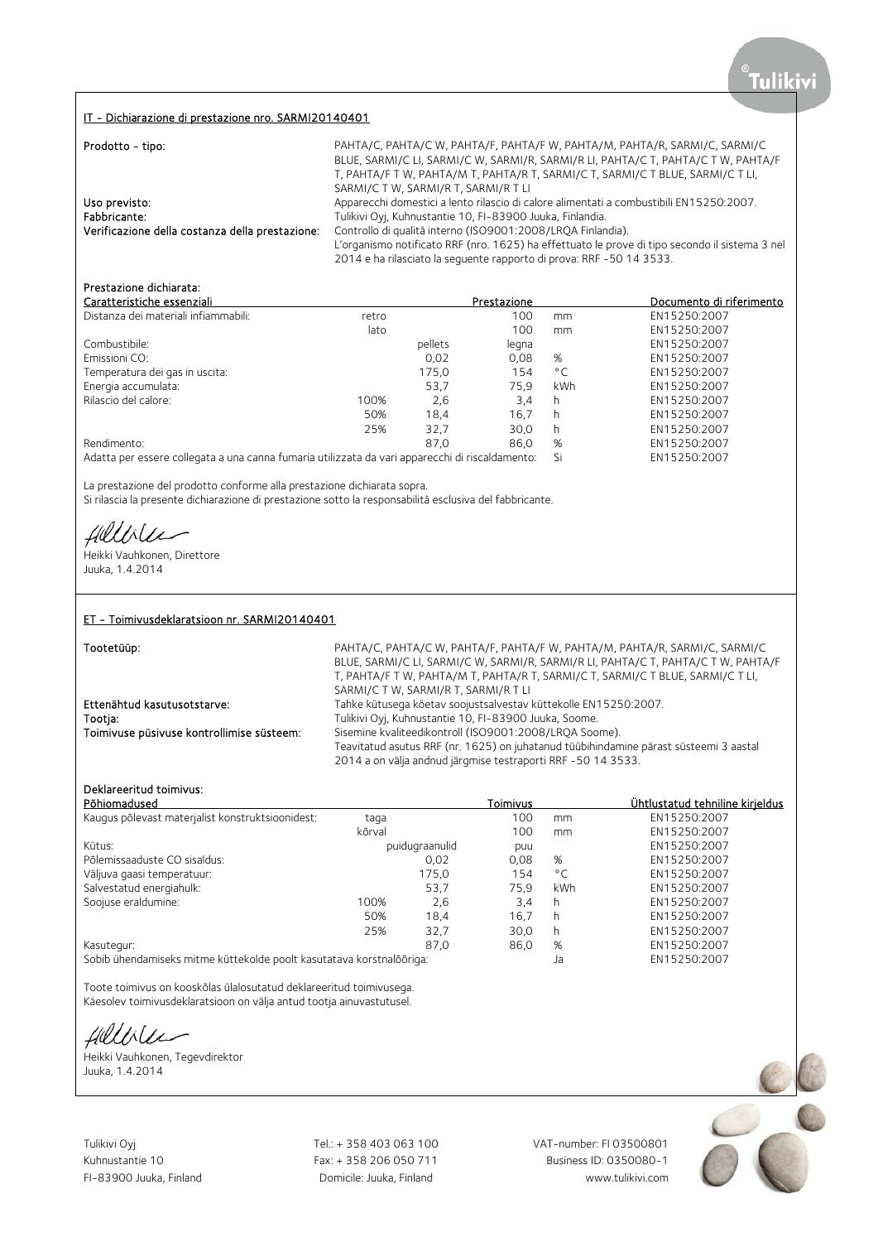### IT - Dichiarazione di prestazione nro. SARMI20140401

| Prodotto - tipo:                                | PAHTA/C, PAHTA/C W, PAHTA/F, PAHTA/F W, PAHTA/M, PAHTA/R, SARMI/C, SARMI/C<br>BLUE, SARMI/C LI, SARMI/C W, SARMI/R, SARMI/R LI, PAHTA/C T, PAHTA/C T W, PAHTA/F<br>T, PAHTA/F T W, PAHTA/M T, PAHTA/R T, SARMI/C T, SARMI/C T BLUE, SARMI/C T LI,<br>SARMI/C T W, SARMI/R T, SARMI/R T LI |
|-------------------------------------------------|-------------------------------------------------------------------------------------------------------------------------------------------------------------------------------------------------------------------------------------------------------------------------------------------|
| Uso previsto:<br>Fabbricante:                   | Apparecchi domestici a lento rilascio di calore alimentati a combustibili EN15250:2007.<br>Tulikivi Oyj, Kuhnustantie 10, FI-83900 Juuka, Finlandia.                                                                                                                                      |
| Verificazione della costanza della prestazione: | Controllo di qualità interno (ISO9001:2008/LRQA Finlandia).<br>L'organismo notificato RRF (nro. 1625) ha effettuato le prove di tipo secondo il sistema 3 nel<br>2014 e ha rilasciato la sequente rapporto di prova: RRF -50 14 3533.                                                     |

# Prestazione dichiarata:

| Caratteristiche essenziali                                                                      |       |         | Prestazione |              | Documento di riferimento |
|-------------------------------------------------------------------------------------------------|-------|---------|-------------|--------------|--------------------------|
| Distanza dei materiali infiammabili:                                                            | retro |         | 100         | mm           | EN15250:2007             |
|                                                                                                 | lato  |         | 100         | mm           | EN15250:2007             |
| Combustibile:                                                                                   |       | pellets | legna       |              | EN15250:2007             |
| Emissioni CO:                                                                                   |       | 0,02    | 0,08        | %            | EN15250:2007             |
| Temperatura dei gas in uscita:                                                                  |       | 175,0   | 154         | $^{\circ}$ C | EN15250:2007             |
| Energia accumulata:                                                                             |       | 53,7    | 75.9        | kWh          | EN15250:2007             |
| Rilascio del calore:                                                                            | 100%  | 2,6     | 3,4         | h            | EN15250:2007             |
|                                                                                                 | 50%   | 18.4    | 16.7        | h            | EN15250:2007             |
|                                                                                                 | 25%   | 32,7    | 30.0        | h            | EN15250:2007             |
| Rendimento:                                                                                     |       | 87.0    | 86.0        | %            | EN15250:2007             |
| Adatta per essere collegata a una canna fumaria utilizzata da vari apparecchi di riscaldamento: |       |         |             | Si           | EN15250:2007             |

La prestazione del prodotto conforme alla prestazione dichiarata sopra. Si rilascia la presente dichiarazione di prestazione sotto la responsabilità esclusiva del fabbricante.

Hillville

Heikki Vauhkonen, Direttore Juuka, 1.4.2014

#### ET - Toimivusdeklaratsioon nr. SARMI20140401

Tootetüüp:

BLUE, SARMI/C LI, SARMI/C W, SARMI/R, SARMI/R LI, PAHTA/C T, PAHTA/C T W, PAHTA/F T, PAHTA/F T W, PAHTA/M T, PAHTA/R T, SARMI/C T, SARMI/C T BLUE, SARMI/C T LI, SARMI/C T W, SARMI/R T, SARMI/R T LI Ettenähtud kasutusotstarve: Tahke kütusega köetav soojustsalvestav küttekolle EN15250:2007. Tootja: Tulikivi Oyj, Kuhnustantie 10, FI-83900 Juuka, Soome. Sisemine kvaliteedikontroll (ISO9001:2008/LRQA Soome). Teavitatud asutus RRF (nr. 1625) on juhatanud tüübihindamine pärast süsteemi 3 aastal 2014 a on välja andnud järgmise testraporti RRF -50 14 3533.

PAHTA/C, PAHTA/C W, PAHTA/F, PAHTA/F W, PAHTA/M, PAHTA/R, SARMI/C, SARMI/C

#### Deklareeritud toimivus:

| Põhiomadused                                                         |        |                | Toimivus |              | Ühtlustatud tehniline kirieldus |
|----------------------------------------------------------------------|--------|----------------|----------|--------------|---------------------------------|
| Kaugus põlevast materjalist konstruktsioonidest:                     | taga   |                | 100      | mm           | EN15250:2007                    |
|                                                                      | kõrval |                | 100      | mm           | EN15250:2007                    |
| Kütus:                                                               |        | puidugraanulid | puu      |              | EN15250:2007                    |
| Põlemissaaduste CO sisaldus:                                         |        | 0.02           | 0.08     | %            | EN15250:2007                    |
| Väljuva gaasi temperatuur:                                           |        | 175,0          | 154      | $^{\circ}$ C | EN15250:2007                    |
| Salvestatud energiahulk:                                             |        | 53,7           | 75.9     | <b>kWh</b>   | EN15250:2007                    |
| Soojuse eraldumine:                                                  | 100%   | 2,6            | 3,4      | h            | EN15250:2007                    |
|                                                                      | 50%    | 18,4           | 16,7     | h            | EN15250:2007                    |
|                                                                      | 25%    | 32,7           | 30.0     | h            | EN15250:2007                    |
| Kasutegur:                                                           |        | 87.0           | 86,0     | %            | EN15250:2007                    |
| Sobib ühendamiseks mitme küttekolde poolt kasutatava korstnalõõriga: |        |                |          | Ja           | EN15250:2007                    |

Toote toimivus on kooskõlas ülalosutatud deklareeritud toimivusega. Käesolev toimivusdeklaratsioon on välja antud tootja ainuvastutusel.

Hillble

Heikki Vauhkonen, Tegevdirektor Juuka, 1.4.2014

Tulikivi Oyj Tel.: + 358 403 063 100 VAT-number: FI 03500801

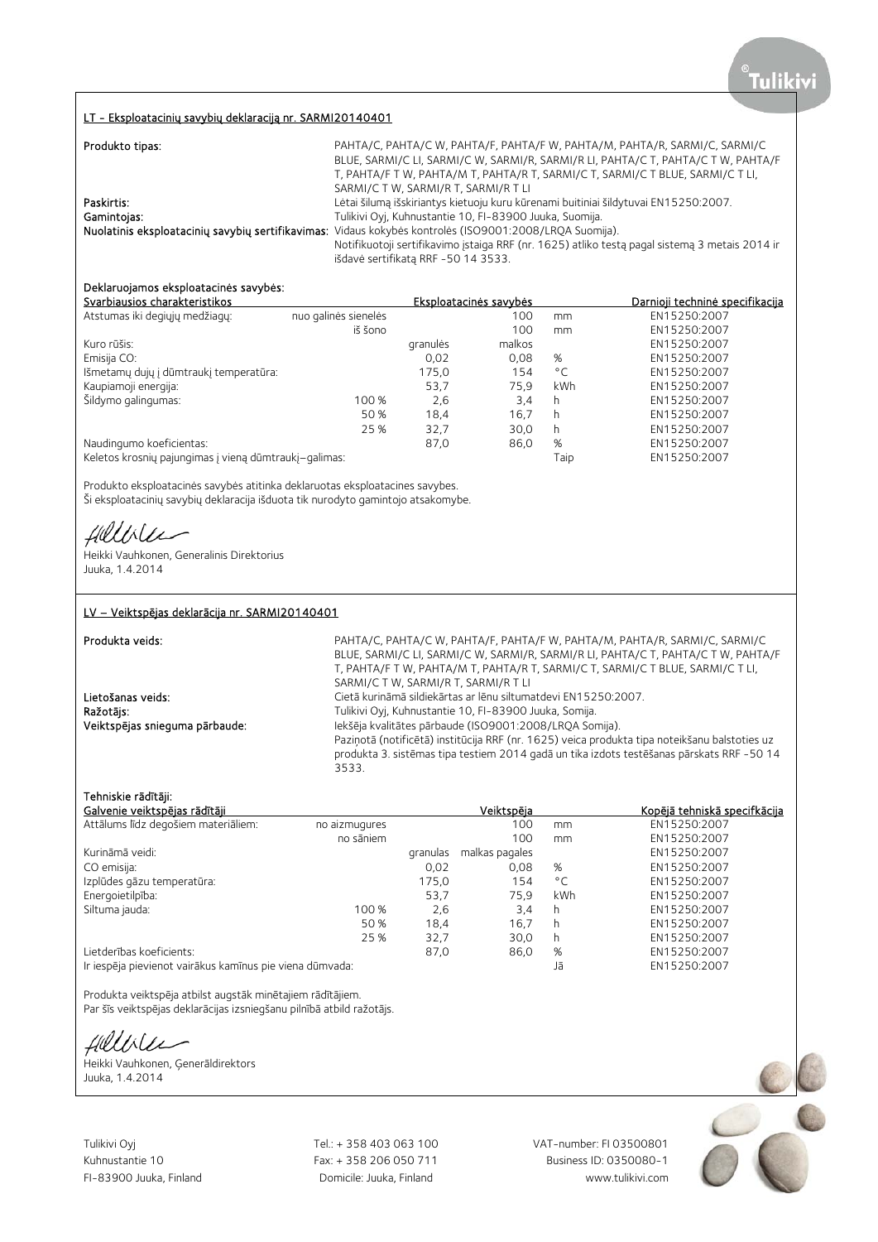# LT - Eksploatacinių savybių deklaraciją nr. SARMI20140401

| Produkto tipas: | PAHTA/C, PAHTA/C W, PAHTA/F, PAHTA/F W, PAHTA/M, PAHTA/R, SARMI/C, SARMI/C                              |
|-----------------|---------------------------------------------------------------------------------------------------------|
|                 | BLUE, SARMI/C LI, SARMI/C W, SARMI/R, SARMI/R LI, PAHTA/C T, PAHTA/C T W, PAHTA/F                       |
|                 | T, PAHTA/F T W, PAHTA/M T, PAHTA/R T, SARMI/C T, SARMI/C T BLUE, SARMI/C T LI,                          |
|                 | SARMI/C T W, SARMI/R T, SARMI/R T LI                                                                    |
| Paskirtis:      | Lėtai šilumą išskiriantys kietuoju kuru kūrenami buitiniai šildytuvai EN15250:2007.                     |
| Gamintojas:     | Tulikivi Oyj, Kuhnustantie 10, FI-83900 Juuka, Suomija.                                                 |
|                 | Nuolatinis eksploatacinių savybių sertifikavimas: Vidaus kokybės kontrolės (ISO9001:2008/LRQA Suomija). |
|                 | Notifikuotoji sertifikavimo įstaiga RRF (nr. 1625) atliko testą pagal sistemą 3 metais 2014 ir          |
|                 | išdavė sertifikatą RRF -50 14 3533.                                                                     |

# Deklaruojamos eksploatacinės savybės:

| Svarbiausios charakteristikos                         |                      | Eksploatacinės savybės | Darnioji techninė specifikacija |              |              |
|-------------------------------------------------------|----------------------|------------------------|---------------------------------|--------------|--------------|
| Atstumas iki degiųjų medžiagų:                        | nuo galinės sienelės |                        | 100                             | mm           | EN15250:2007 |
|                                                       | iš šono              |                        | 100                             | mm           | EN15250:2007 |
| Kuro rūšis:                                           |                      | granulės               | malkos                          |              | EN15250:2007 |
| Emisija CO:                                           |                      | 0,02                   | 0.08                            | %            | EN15250:2007 |
| Išmetamų dujų į dūmtraukį temperatūra:                |                      | 175,0                  | 154                             | $^{\circ}$ C | EN15250:2007 |
| Kaupiamoji energija:                                  |                      | 53,7                   | 75.9                            | kWh          | EN15250:2007 |
| Šildymo galingumas:                                   | 100 %                | 2,6                    | 3.4                             | h            | EN15250:2007 |
|                                                       | 50 %                 | 18.4                   | 16.7                            | h            | EN15250:2007 |
|                                                       | 25 %                 | 32.7                   | 30,0                            | h            | EN15250:2007 |
| Naudingumo koeficientas:                              |                      | 87.0                   | 86,0                            | %            | EN15250:2007 |
| Keletos krosnių pajungimas į vieną dūmtraukį–galimas: |                      |                        |                                 | Taip         | EN15250:2007 |

Produkto eksploatacinės savybės atitinka deklaruotas eksploatacines savybes. Ši eksploatacinių savybių deklaracija išduota tik nurodyto gamintojo atsakomybe.

fillble

Heikki Vauhkonen, Generalinis Direktorius Juuka, 1.4.2014

# LV – Veiktspējas deklarācija nr. SARMI20140401

| Produkta veids:                | PAHTA/C, PAHTA/C W, PAHTA/F, PAHTA/F W, PAHTA/M, PAHTA/R, SARMI/C, SARMI/C<br>BLUE, SARMI/C LI, SARMI/C W, SARMI/R, SARMI/R LI, PAHTA/C T, PAHTA/C T W, PAHTA/F<br>T, PAHTA/F T W, PAHTA/M T, PAHTA/R T, SARMI/C T, SARMI/C T BLUE, SARMI/C T LI, |
|--------------------------------|---------------------------------------------------------------------------------------------------------------------------------------------------------------------------------------------------------------------------------------------------|
|                                | SARMI/C T W, SARMI/R T, SARMI/R T LI                                                                                                                                                                                                              |
| Lietošanas veids:              | Cietā kurināmā sildiekārtas ar lēnu siltumatdevi EN15250:2007.                                                                                                                                                                                    |
| Ražotājs:                      | Tulikivi Oyi, Kuhnustantie 10, FI-83900 Juuka, Somija.                                                                                                                                                                                            |
| Veiktspējas snieguma pārbaude: | Iekšēja kvalitātes pārbaude (ISO9001:2008/LRQA Somija).                                                                                                                                                                                           |
|                                | Paziņotā (notificētā) institūcija RRF (nr. 1625) veica produkta tipa noteikšanu balstoties uz<br>produkta 3. sistēmas tipa testiem 2014 gadā un tika izdots testēšanas pārskats RRF -50 14<br>3533.                                               |

### Tehniskie rādītāji:

| Galvenie veiktspējas rādītāji                            |               |          | Veiktspēja     |              | Kopējā tehniskā specifkācija |
|----------------------------------------------------------|---------------|----------|----------------|--------------|------------------------------|
| Attālums līdz degošiem materiāliem:                      | no aizmugures |          | 100            | mm           | EN15250:2007                 |
|                                                          | no sāniem     |          | 100            | mm           | EN15250:2007                 |
| Kurināmā veidi:                                          |               | granulas | malkas pagales |              | EN15250:2007                 |
| CO emisija:                                              |               | 0,02     | 0.08           | %            | EN15250:2007                 |
| Izplūdes gāzu temperatūra:                               |               | 175,0    | 154            | $^{\circ}$ C | EN15250:2007                 |
| Energoietilpība:                                         |               | 53.7     | 75.9           | <b>kWh</b>   | EN15250:2007                 |
| Siltuma jauda:                                           | 100 %         | 2,6      | 3,4            | h            | EN15250:2007                 |
|                                                          | 50 %          | 18,4     | 16.7           | h            | EN15250:2007                 |
|                                                          | 25 %          | 32,7     | 30,0           | h            | EN15250:2007                 |
| Lietderības koeficients:                                 |               | 87,0     | 86,0           | %            | EN15250:2007                 |
| Ir iesnēja pievienot vairākus kamīnus pie viena dūmvada: |               |          |                | 15           | EN15250.2007                 |

Ir iespēja pievienot vairākus kamīnus pie viena dūmvada:

Produkta veiktspēja atbilst augstāk minētajiem rādītājiem.

Par šīs veiktspējas deklarācijas izsniegšanu pilnībā atbild ražotājs.

Hillver

Heikki Vauhkonen, Ģenerāldirektors Juuka, 1.4.2014

Tulikivi Oyj Tel.: + 358 403 063 100 VAT-number: FI 03500801

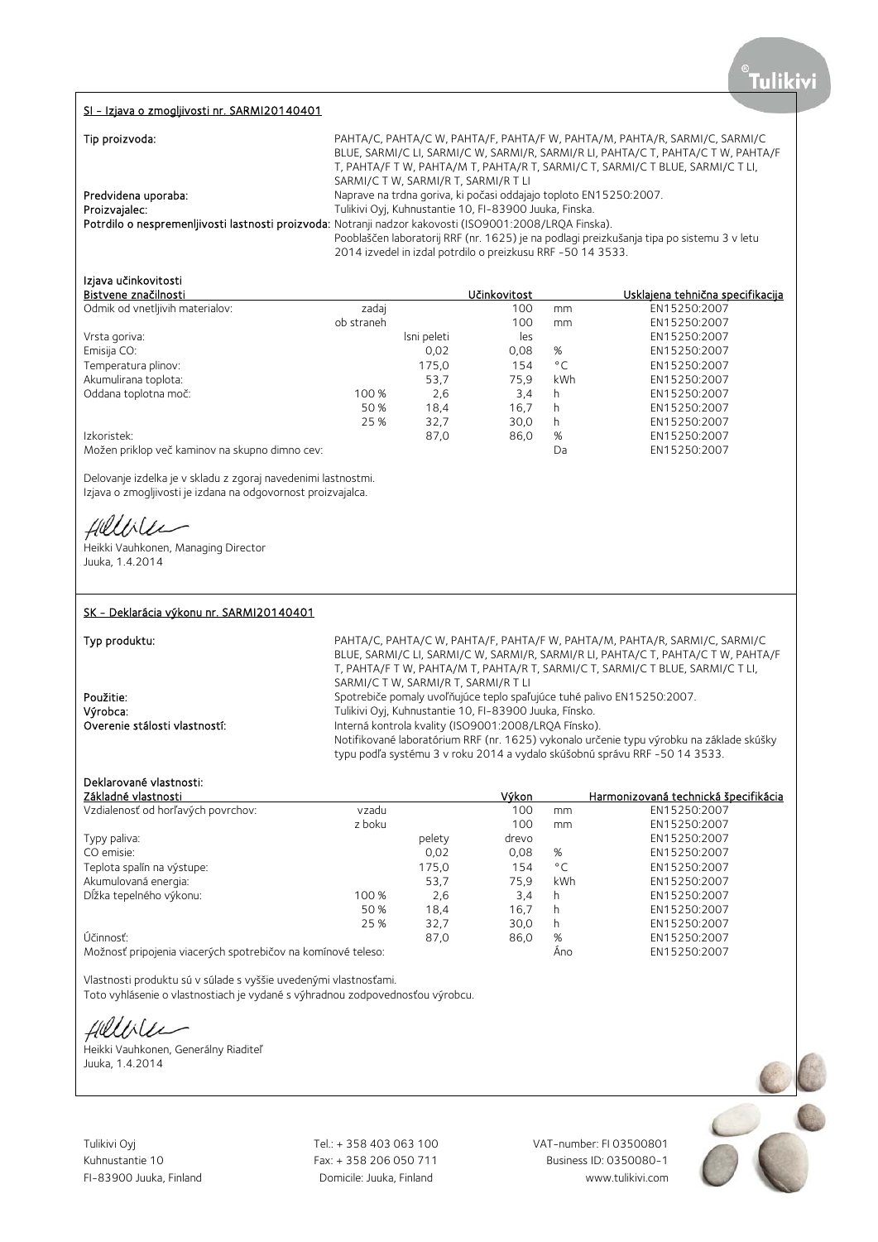#### SI - Izjava o zmogljivosti nr. SARMI20140401

| Tip proizvoda:      | PAHTA/C, PAHTA/C W, PAHTA/F, PAHTA/F W, PAHTA/M, PAHTA/R, SARMI/C, SARMI/C                              |
|---------------------|---------------------------------------------------------------------------------------------------------|
|                     | BLUE, SARMI/C LI, SARMI/C W, SARMI/R, SARMI/R LI, PAHTA/C T, PAHTA/C T W, PAHTA/F                       |
|                     | T, PAHTA/F T W, PAHTA/M T, PAHTA/R T, SARMI/C T, SARMI/C T BLUE, SARMI/C T LI,                          |
|                     | SARMI/C T W, SARMI/R T, SARMI/R T LI                                                                    |
| Predvidena uporaba: | Naprave na trdna goriva, ki počasi oddajajo toploto EN15250:2007.                                       |
| Proizvajalec:       | Tulikivi Oyj, Kuhnustantie 10, FI-83900 Juuka, Finska.                                                  |
|                     | Potrdilo o nespremenljivosti lastnosti proizvoda: Notranji nadzor kakovosti (ISO9001:2008/LRQA Finska). |
|                     | Pooblaščen laboratorij RRF (nr. 1625) je na podlagi preizkušanja tipa po sistemu 3 v letu               |
|                     | 2014 izvedel in izdal potrdilo o preizkusu RRF -50 14 3533.                                             |

# Izjava učinkovitosti

| Bistvene značilnosti                           |            |             | Učinkovitost |              | <u>Usklajena tehnična specifikacija</u> |
|------------------------------------------------|------------|-------------|--------------|--------------|-----------------------------------------|
| Odmik od vnetljivih materialov:                | zadaj      |             | 100          | mm           | EN15250:2007                            |
|                                                | ob straneh |             | 100          | mm           | EN15250:2007                            |
| Vrsta goriva:                                  |            | Isni peleti | les          |              | EN15250:2007                            |
| Emisija CO:                                    |            | 0,02        | 0,08         | %            | EN15250:2007                            |
| Temperatura plinov:                            |            | 175,0       | 154          | $^{\circ}$ C | EN15250:2007                            |
| Akumulirana toplota:                           |            | 53,7        | 75.9         | kWh          | EN15250:2007                            |
| Oddana toplotna moč:                           | 100 %      | 2,6         | 3,4          | h            | EN15250:2007                            |
|                                                | 50 %       | 18,4        | 16.7         | h            | EN15250:2007                            |
|                                                | 25 %       | 32,7        | 30,0         | h            | EN15250:2007                            |
| Izkoristek:                                    |            | 87,0        | 86,0         | %            | EN15250:2007                            |
| Možen priklop več kaminov na skupno dimno cev: |            |             |              | Da           | EN15250:2007                            |

Delovanje izdelka je v skladu z zgoraj navedenimi lastnostmi. Izjava o zmogljivosti je izdana na odgovornost proizvajalca.

Hellile

Heikki Vauhkonen, Managing Director Juuka, 1.4.2014

## SK - Deklarácia výkonu nr. SARMI20140401

Typ produktu: example and the PAHTA/C, PAHTA/C, PAHTA/F, PAHTA/F, W, PAHTA/M, PAHTA/R, SARMI/C, SARMI/C, SARMI/C BLUE, SARMI/C LI, SARMI/C W, SARMI/R, SARMI/R LI, PAHTA/C T, PAHTA/C T W, PAHTA/F T, PAHTA/F T W, PAHTA/M T, PAHTA/R T, SARMI/C T, SARMI/C T BLUE, SARMI/C T LI, SARMI/C T W, SARMI/R T, SARMI/R T LI Použitie: spotrebiče pomaly uvoľňujúce teplo spaľujúce tuhé palivo EN15250:2007. Výrobca:<br>
Výrobca: Tulikivi Oyj, Kuhnustantie 10, FI-83900 Juuka, Fínsko.<br>
Interná kontrola kvality (ISO9001:2008/LROA Fínsko) Interná kontrola kvality (ISO9001:2008/LRQA Fínsko). Notifikované laboratórium RRF (nr. 1625) vykonalo určenie typu výrobku na základe skúšky typu podľa systému 3 v roku 2014 a vydalo skúšobnú správu RRF -50 14 3533.

# Deklarované vlastnosti:

|                                                              |        | Výkon |               | Harmonizovaná technická špecifikácia |
|--------------------------------------------------------------|--------|-------|---------------|--------------------------------------|
| vzadu                                                        |        | 100   | mm            | EN15250:2007                         |
| z boku                                                       |        | 100   | <sub>mm</sub> | EN15250:2007                         |
|                                                              | pelety | drevo |               | EN15250:2007                         |
|                                                              | 0,02   | 0.08  | %             | EN15250:2007                         |
|                                                              | 175,0  | 154   | $^{\circ}$ C  | EN15250:2007                         |
|                                                              | 53,7   | 75.9  | kWh           | EN15250:2007                         |
| 100 %                                                        | 2,6    | 3.4   | h             | EN15250:2007                         |
| 50 %                                                         | 18,4   | 16.7  | h             | EN15250:2007                         |
| 25 %                                                         | 32,7   | 30,0  | h             | EN15250:2007                         |
|                                                              | 87,0   | 86,0  | %             | EN15250:2007                         |
| Možnosť pripojenia viacerých spotrebičov na komínové teleso: |        |       | Àno           | EN15250:2007                         |
|                                                              |        |       |               |                                      |

Vlastnosti produktu sú v súlade s vyššie uvedenými vlastnosťami. Toto vyhlásenie o vlastnostiach je vydané s výhradnou zodpovednosťou výrobcu.

fieldice

Heikki Vauhkonen, Generálny Riaditeľ Juuka, 1.4.2014

Tulikivi Oyj **Tel.: + 358 403 063 100** VAT-number: FI 03500801